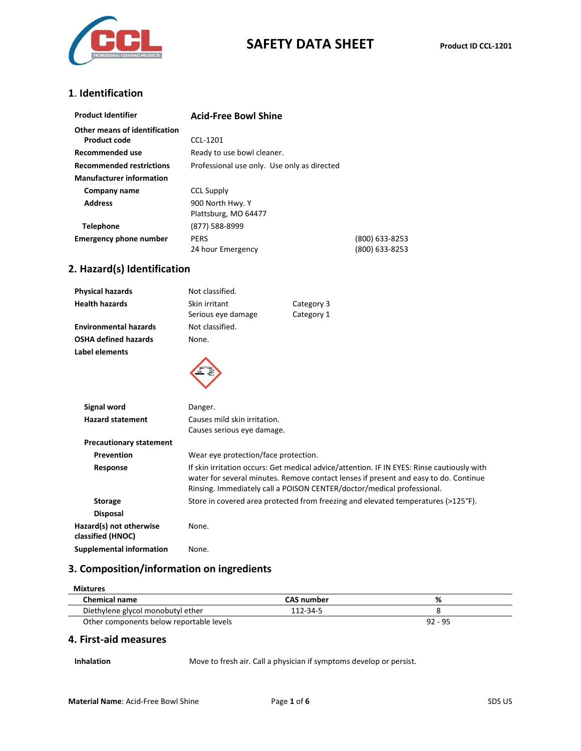

# **SAFETY DATA SHEET Product ID CCL-1201**

#### **1**. **Identification**

| <b>Product Identifier</b>       | <b>Acid-Free Bowl Shine</b>                 |                |
|---------------------------------|---------------------------------------------|----------------|
| Other means of identification   |                                             |                |
| Product code                    | CCL-1201                                    |                |
| Recommended use                 | Ready to use bowl cleaner.                  |                |
| <b>Recommended restrictions</b> | Professional use only. Use only as directed |                |
| <b>Manufacturer information</b> |                                             |                |
| Company name                    | <b>CCL Supply</b>                           |                |
| <b>Address</b>                  | 900 North Hwy. Y                            |                |
|                                 | Plattsburg, MO 64477                        |                |
| <b>Telephone</b>                | (877) 588-8999                              |                |
| <b>Emergency phone number</b>   | <b>PERS</b>                                 | (800) 633-8253 |
|                                 | 24 hour Emergency                           | (800) 633-8253 |

# **2. Hazard(s) Identification**

| <b>Physical hazards</b>                      | Not classified.                      |                                                                                                                                                                                                                                                              |
|----------------------------------------------|--------------------------------------|--------------------------------------------------------------------------------------------------------------------------------------------------------------------------------------------------------------------------------------------------------------|
| <b>Health hazards</b>                        | Skin irritant<br>Serious eye damage  | Category 3<br>Category 1                                                                                                                                                                                                                                     |
| <b>Environmental hazards</b>                 | Not classified.                      |                                                                                                                                                                                                                                                              |
| <b>OSHA defined hazards</b>                  | None.                                |                                                                                                                                                                                                                                                              |
| Label elements                               |                                      |                                                                                                                                                                                                                                                              |
| <b>Signal word</b>                           | Danger.                              |                                                                                                                                                                                                                                                              |
| <b>Hazard statement</b>                      | Causes mild skin irritation.         |                                                                                                                                                                                                                                                              |
|                                              | Causes serious eye damage.           |                                                                                                                                                                                                                                                              |
| <b>Precautionary statement</b>               |                                      |                                                                                                                                                                                                                                                              |
| Prevention                                   | Wear eye protection/face protection. |                                                                                                                                                                                                                                                              |
| Response                                     |                                      | If skin irritation occurs: Get medical advice/attention. IF IN EYES: Rinse cautiously with<br>water for several minutes. Remove contact lenses if present and easy to do. Continue<br>Rinsing. Immediately call a POISON CENTER/doctor/medical professional. |
| <b>Storage</b>                               |                                      | Store in covered area protected from freezing and elevated temperatures (>125°F).                                                                                                                                                                            |
| <b>Disposal</b>                              |                                      |                                                                                                                                                                                                                                                              |
| Hazard(s) not otherwise<br>classified (HNOC) | None.                                |                                                                                                                                                                                                                                                              |
| <b>Supplemental information</b>              | None.                                |                                                                                                                                                                                                                                                              |

### **3. Composition/information on ingredients**

| <b>Mixtures</b>                          |                   |           |
|------------------------------------------|-------------------|-----------|
| <b>Chemical name</b>                     | <b>CAS number</b> | ℅         |
| Diethylene glycol monobutyl ether        | 112-34-5          |           |
| Other components below reportable levels |                   | $92 - 95$ |

#### **4. First-aid measures**

**Inhalation** Move to fresh air. Call a physician if symptoms develop or persist.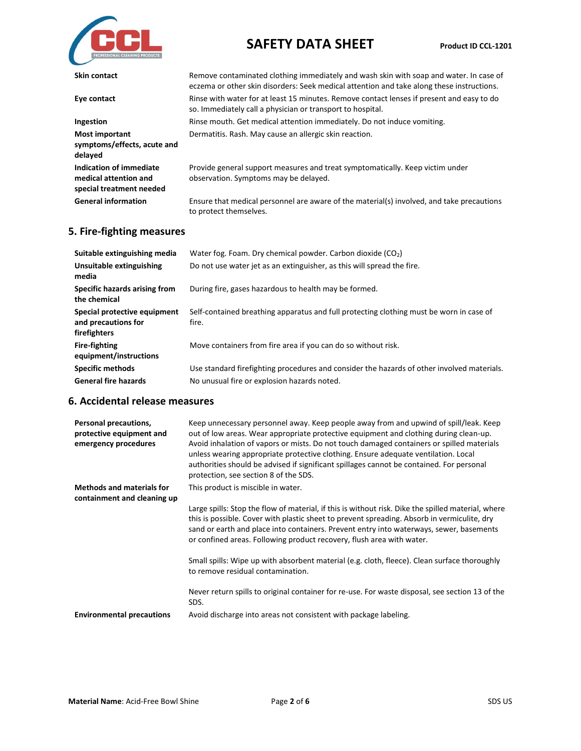

# **SAFETY DATA SHEET Product ID CCL-1201**

| Skin contact                                                                 | Remove contaminated clothing immediately and wash skin with soap and water. In case of<br>eczema or other skin disorders: Seek medical attention and take along these instructions. |
|------------------------------------------------------------------------------|-------------------------------------------------------------------------------------------------------------------------------------------------------------------------------------|
| Eye contact                                                                  | Rinse with water for at least 15 minutes. Remove contact lenses if present and easy to do<br>so. Immediately call a physician or transport to hospital.                             |
| Ingestion                                                                    | Rinse mouth. Get medical attention immediately. Do not induce vomiting.                                                                                                             |
| <b>Most important</b><br>symptoms/effects, acute and<br>delayed              | Dermatitis. Rash. May cause an allergic skin reaction.                                                                                                                              |
| Indication of immediate<br>medical attention and<br>special treatment needed | Provide general support measures and treat symptomatically. Keep victim under<br>observation. Symptoms may be delayed.                                                              |
| <b>General information</b>                                                   | Ensure that medical personnel are aware of the material(s) involved, and take precautions<br>to protect themselves.                                                                 |

# **5. Fire-fighting measures**

| Suitable extinguishing media                                        | Water fog. Foam. Dry chemical powder. Carbon dioxide $(CO2)$                                     |
|---------------------------------------------------------------------|--------------------------------------------------------------------------------------------------|
| Unsuitable extinguishing<br>media                                   | Do not use water jet as an extinguisher, as this will spread the fire.                           |
| Specific hazards arising from<br>the chemical                       | During fire, gases hazardous to health may be formed.                                            |
| Special protective equipment<br>and precautions for<br>firefighters | Self-contained breathing apparatus and full protecting clothing must be worn in case of<br>fire. |
| <b>Fire-fighting</b><br>equipment/instructions                      | Move containers from fire area if you can do so without risk.                                    |
| <b>Specific methods</b>                                             | Use standard firefighting procedures and consider the hazards of other involved materials.       |
| <b>General fire hazards</b>                                         | No unusual fire or explosion hazards noted.                                                      |

## **6. Accidental release measures**

| Personal precautions,<br>protective equipment and<br>emergency procedures | Keep unnecessary personnel away. Keep people away from and upwind of spill/leak. Keep<br>out of low areas. Wear appropriate protective equipment and clothing during clean-up.<br>Avoid inhalation of vapors or mists. Do not touch damaged containers or spilled materials<br>unless wearing appropriate protective clothing. Ensure adequate ventilation. Local<br>authorities should be advised if significant spillages cannot be contained. For personal<br>protection, see section 8 of the SDS. |
|---------------------------------------------------------------------------|--------------------------------------------------------------------------------------------------------------------------------------------------------------------------------------------------------------------------------------------------------------------------------------------------------------------------------------------------------------------------------------------------------------------------------------------------------------------------------------------------------|
| <b>Methods and materials for</b><br>containment and cleaning up           | This product is miscible in water.                                                                                                                                                                                                                                                                                                                                                                                                                                                                     |
|                                                                           | Large spills: Stop the flow of material, if this is without risk. Dike the spilled material, where<br>this is possible. Cover with plastic sheet to prevent spreading. Absorb in vermiculite, dry<br>sand or earth and place into containers. Prevent entry into waterways, sewer, basements<br>or confined areas. Following product recovery, flush area with water.                                                                                                                                  |
|                                                                           | Small spills: Wipe up with absorbent material (e.g. cloth, fleece). Clean surface thoroughly<br>to remove residual contamination.                                                                                                                                                                                                                                                                                                                                                                      |
|                                                                           | Never return spills to original container for re-use. For waste disposal, see section 13 of the<br>SDS.                                                                                                                                                                                                                                                                                                                                                                                                |
| <b>Environmental precautions</b>                                          | Avoid discharge into areas not consistent with package labeling.                                                                                                                                                                                                                                                                                                                                                                                                                                       |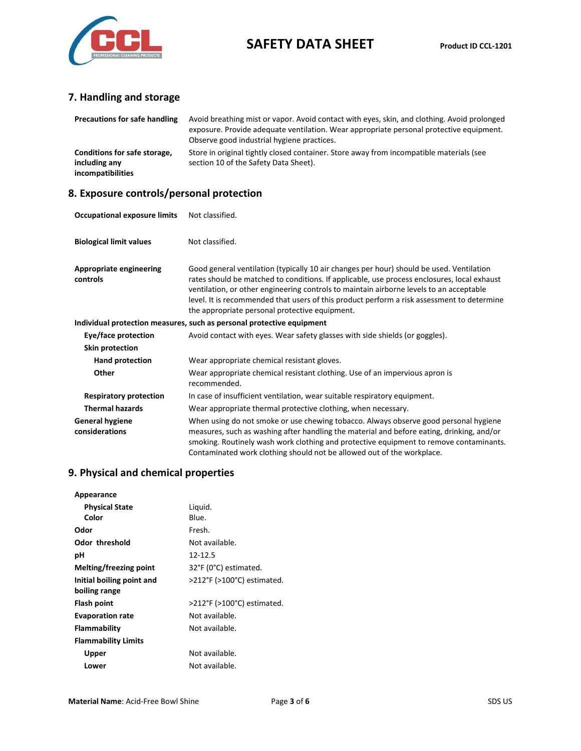

# **SAFETY DATA SHEET Product ID CCL-1201**

# **7. Handling and storage**

| <b>Precautions for safe handling</b>                               | Avoid breathing mist or vapor. Avoid contact with eyes, skin, and clothing. Avoid prolonged<br>exposure. Provide adequate ventilation. Wear appropriate personal protective equipment.<br>Observe good industrial hygiene practices. |
|--------------------------------------------------------------------|--------------------------------------------------------------------------------------------------------------------------------------------------------------------------------------------------------------------------------------|
| Conditions for safe storage,<br>including any<br>incompatibilities | Store in original tightly closed container. Store away from incompatible materials (see<br>section 10 of the Safety Data Sheet).                                                                                                     |

## **8. Exposure controls/personal protection**

| <b>Occupational exposure limits</b>        | Not classified.                                                                                                                                                                                                                                                                                                                                                                                                                    |
|--------------------------------------------|------------------------------------------------------------------------------------------------------------------------------------------------------------------------------------------------------------------------------------------------------------------------------------------------------------------------------------------------------------------------------------------------------------------------------------|
| <b>Biological limit values</b>             | Not classified.                                                                                                                                                                                                                                                                                                                                                                                                                    |
| <b>Appropriate engineering</b><br>controls | Good general ventilation (typically 10 air changes per hour) should be used. Ventilation<br>rates should be matched to conditions. If applicable, use process enclosures, local exhaust<br>ventilation, or other engineering controls to maintain airborne levels to an acceptable<br>level. It is recommended that users of this product perform a risk assessment to determine<br>the appropriate personal protective equipment. |
|                                            | Individual protection measures, such as personal protective equipment                                                                                                                                                                                                                                                                                                                                                              |
| Eye/face protection                        | Avoid contact with eyes. Wear safety glasses with side shields (or goggles).                                                                                                                                                                                                                                                                                                                                                       |
| Skin protection                            |                                                                                                                                                                                                                                                                                                                                                                                                                                    |
| Hand protection                            | Wear appropriate chemical resistant gloves.                                                                                                                                                                                                                                                                                                                                                                                        |
| Other                                      | Wear appropriate chemical resistant clothing. Use of an impervious apron is<br>recommended.                                                                                                                                                                                                                                                                                                                                        |
| <b>Respiratory protection</b>              | In case of insufficient ventilation, wear suitable respiratory equipment.                                                                                                                                                                                                                                                                                                                                                          |
| <b>Thermal hazards</b>                     | Wear appropriate thermal protective clothing, when necessary.                                                                                                                                                                                                                                                                                                                                                                      |
| <b>General hygiene</b><br>considerations   | When using do not smoke or use chewing tobacco. Always observe good personal hygiene<br>measures, such as washing after handling the material and before eating, drinking, and/or<br>smoking. Routinely wash work clothing and protective equipment to remove contaminants.<br>Contaminated work clothing should not be allowed out of the workplace.                                                                              |

# **9. Physical and chemical properties**

| Appearance                 |                            |
|----------------------------|----------------------------|
| <b>Physical State</b>      | Liquid.                    |
| Color                      | Blue.                      |
| Odor                       | Fresh.                     |
| <b>Odor threshold</b>      | Not available.             |
| рH                         | 12-12.5                    |
| Melting/freezing point     | 32°F (0°C) estimated.      |
| Initial boiling point and  | >212°F (>100°C) estimated. |
| boiling range              |                            |
| Flash point                | >212°F (>100°C) estimated. |
| <b>Evaporation rate</b>    | Not available.             |
| Flammability               | Not available.             |
| <b>Flammability Limits</b> |                            |
| Upper                      | Not available.             |
| Lower                      | Not available.             |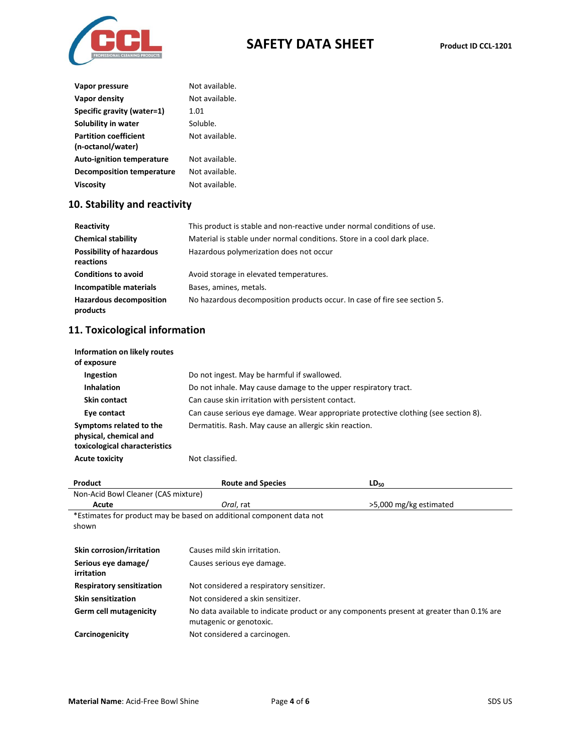

| Vapor pressure                                    | Not available. |
|---------------------------------------------------|----------------|
| Vapor density                                     | Not available. |
| Specific gravity (water=1)                        | 1.01           |
| Solubility in water                               | Soluble.       |
| <b>Partition coefficient</b><br>(n-octanol/water) | Not available. |
| <b>Auto-ignition temperature</b>                  | Not available. |
| <b>Decomposition temperature</b>                  | Not available. |
| Viscosity                                         | Not available. |

# **10. Stability and reactivity**

| Reactivity                                   | This product is stable and non-reactive under normal conditions of use.   |
|----------------------------------------------|---------------------------------------------------------------------------|
| <b>Chemical stability</b>                    | Material is stable under normal conditions. Store in a cool dark place.   |
| <b>Possibility of hazardous</b><br>reactions | Hazardous polymerization does not occur                                   |
| <b>Conditions to avoid</b>                   | Avoid storage in elevated temperatures.                                   |
| Incompatible materials                       | Bases, amines, metals.                                                    |
| <b>Hazardous decomposition</b><br>products   | No hazardous decomposition products occur. In case of fire see section 5. |

# **11. Toxicological information**

| Information on likely routes<br>of exposure                                        |                                                                                     |
|------------------------------------------------------------------------------------|-------------------------------------------------------------------------------------|
| Ingestion                                                                          | Do not ingest. May be harmful if swallowed.                                         |
| <b>Inhalation</b>                                                                  | Do not inhale. May cause damage to the upper respiratory tract.                     |
| <b>Skin contact</b>                                                                | Can cause skin irritation with persistent contact.                                  |
| Eye contact                                                                        | Can cause serious eye damage. Wear appropriate protective clothing (see section 8). |
| Symptoms related to the<br>physical, chemical and<br>toxicological characteristics | Dermatitis. Rash. May cause an allergic skin reaction.                              |
| <b>Acute toxicity</b>                                                              | Not classified.                                                                     |

| Product                                                              | <b>Route and Species</b>                                                                 | $LD_{50}$              |  |  |
|----------------------------------------------------------------------|------------------------------------------------------------------------------------------|------------------------|--|--|
| Non-Acid Bowl Cleaner (CAS mixture)                                  |                                                                                          |                        |  |  |
| Acute                                                                | Oral, rat                                                                                | >5,000 mg/kg estimated |  |  |
| *Estimates for product may be based on additional component data not |                                                                                          |                        |  |  |
| shown                                                                |                                                                                          |                        |  |  |
|                                                                      |                                                                                          |                        |  |  |
| <b>Skin corrosion/irritation</b>                                     | Causes mild skin irritation.                                                             |                        |  |  |
| Serious eye damage/                                                  | Causes serious eye damage.                                                               |                        |  |  |
| irritation                                                           |                                                                                          |                        |  |  |
| <b>Respiratory sensitization</b>                                     | Not considered a respiratory sensitizer.                                                 |                        |  |  |
| <b>Skin sensitization</b>                                            | Not considered a skin sensitizer.                                                        |                        |  |  |
| Germ cell mutagenicity                                               | No data available to indicate product or any components present at greater than 0.1% are |                        |  |  |
|                                                                      | mutagenic or genotoxic.                                                                  |                        |  |  |
| Carcinogenicity                                                      | Not considered a carcinogen.                                                             |                        |  |  |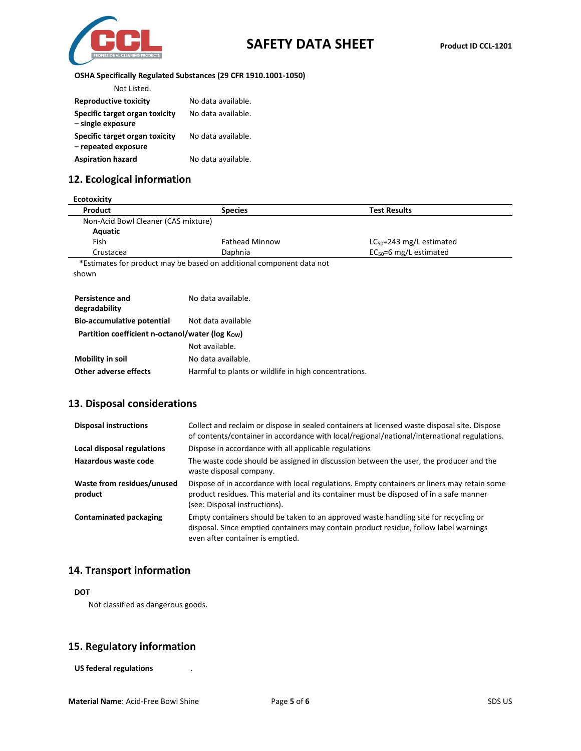

 $\overline{\phantom{a}}$ 

#### **OSHA Specifically Regulated Substances (29 CFR 1910.1001-1050)**

| Not Listed.                                           |                    |
|-------------------------------------------------------|--------------------|
| <b>Reproductive toxicity</b>                          | No data available. |
| Specific target organ toxicity<br>- single exposure   | No data available. |
| Specific target organ toxicity<br>- repeated exposure | No data available. |
| <b>Aspiration hazard</b>                              | No data available. |

## **12. Ecological information**

| <b>Ecotoxicity</b>                              |                                                                      |                               |  |
|-------------------------------------------------|----------------------------------------------------------------------|-------------------------------|--|
| Product                                         | <b>Species</b>                                                       | <b>Test Results</b>           |  |
| Non-Acid Bowl Cleaner (CAS mixture)             |                                                                      |                               |  |
| Aquatic                                         |                                                                      |                               |  |
| Fish                                            | <b>Fathead Minnow</b>                                                | $LC_{50}$ =243 mg/L estimated |  |
| Crustacea                                       | Daphnia                                                              | $EC_{50} = 6$ mg/L estimated  |  |
|                                                 | *Estimates for product may be based on additional component data not |                               |  |
| shown                                           |                                                                      |                               |  |
|                                                 |                                                                      |                               |  |
| Persistence and                                 | No data available.                                                   |                               |  |
| degradability                                   |                                                                      |                               |  |
| <b>Bio-accumulative potential</b>               | Not data available                                                   |                               |  |
| Partition coefficient n-octanol/water (log Kow) |                                                                      |                               |  |
|                                                 | Not available.                                                       |                               |  |
| Mobility in soil                                | No data available.                                                   |                               |  |
| <b>Other adverse effects</b>                    | Harmful to plants or wildlife in high concentrations.                |                               |  |

### **13. Disposal considerations**

| <b>Disposal instructions</b>          | Collect and reclaim or dispose in sealed containers at licensed waste disposal site. Dispose<br>of contents/container in accordance with local/regional/national/international regulations.                            |
|---------------------------------------|------------------------------------------------------------------------------------------------------------------------------------------------------------------------------------------------------------------------|
| Local disposal regulations            | Dispose in accordance with all applicable regulations                                                                                                                                                                  |
| Hazardous waste code                  | The waste code should be assigned in discussion between the user, the producer and the<br>waste disposal company.                                                                                                      |
| Waste from residues/unused<br>product | Dispose of in accordance with local regulations. Empty containers or liners may retain some<br>product residues. This material and its container must be disposed of in a safe manner<br>(see: Disposal instructions). |
| Contaminated packaging                | Empty containers should be taken to an approved waste handling site for recycling or<br>disposal. Since emptied containers may contain product residue, follow label warnings<br>even after container is emptied.      |

### **14. Transport information**

#### **DOT**

Not classified as dangerous goods.

#### **15. Regulatory information**

**US federal regulations** .